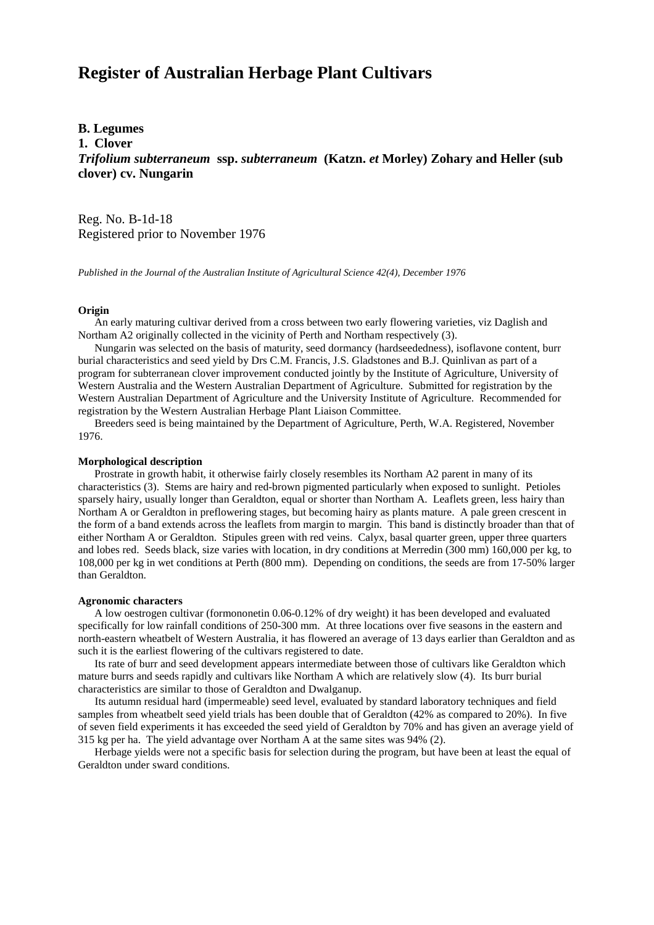# **Register of Australian Herbage Plant Cultivars**

# **B. Legumes**

**1. Clover**

*Trifolium subterraneum* **ssp.** *subterraneum* **(Katzn.** *et* **Morley) Zohary and Heller (sub clover) cv. Nungarin**

Reg. No. B-1d-18 Registered prior to November 1976

*Published in the Journal of the Australian Institute of Agricultural Science 42(4), December 1976*

### **Origin**

 An early maturing cultivar derived from a cross between two early flowering varieties, viz Daglish and Northam A2 originally collected in the vicinity of Perth and Northam respectively (3).

 Nungarin was selected on the basis of maturity, seed dormancy (hardseededness), isoflavone content, burr burial characteristics and seed yield by Drs C.M. Francis, J.S. Gladstones and B.J. Quinlivan as part of a program for subterranean clover improvement conducted jointly by the Institute of Agriculture, University of Western Australia and the Western Australian Department of Agriculture. Submitted for registration by the Western Australian Department of Agriculture and the University Institute of Agriculture. Recommended for registration by the Western Australian Herbage Plant Liaison Committee.

 Breeders seed is being maintained by the Department of Agriculture, Perth, W.A. Registered, November 1976.

## **Morphological description**

 Prostrate in growth habit, it otherwise fairly closely resembles its Northam A2 parent in many of its characteristics (3). Stems are hairy and red-brown pigmented particularly when exposed to sunlight. Petioles sparsely hairy, usually longer than Geraldton, equal or shorter than Northam A. Leaflets green, less hairy than Northam A or Geraldton in preflowering stages, but becoming hairy as plants mature. A pale green crescent in the form of a band extends across the leaflets from margin to margin. This band is distinctly broader than that of either Northam A or Geraldton. Stipules green with red veins. Calyx, basal quarter green, upper three quarters and lobes red. Seeds black, size varies with location, in dry conditions at Merredin (300 mm) 160,000 per kg, to 108,000 per kg in wet conditions at Perth (800 mm). Depending on conditions, the seeds are from 17-50% larger than Geraldton.

#### **Agronomic characters**

 A low oestrogen cultivar (formononetin 0.06-0.12% of dry weight) it has been developed and evaluated specifically for low rainfall conditions of 250-300 mm. At three locations over five seasons in the eastern and north-eastern wheatbelt of Western Australia, it has flowered an average of 13 days earlier than Geraldton and as such it is the earliest flowering of the cultivars registered to date.

 Its rate of burr and seed development appears intermediate between those of cultivars like Geraldton which mature burrs and seeds rapidly and cultivars like Northam A which are relatively slow (4). Its burr burial characteristics are similar to those of Geraldton and Dwalganup.

 Its autumn residual hard (impermeable) seed level, evaluated by standard laboratory techniques and field samples from wheatbelt seed yield trials has been double that of Geraldton (42% as compared to 20%). In five of seven field experiments it has exceeded the seed yield of Geraldton by 70% and has given an average yield of 315 kg per ha. The yield advantage over Northam A at the same sites was 94% (2).

 Herbage yields were not a specific basis for selection during the program, but have been at least the equal of Geraldton under sward conditions.